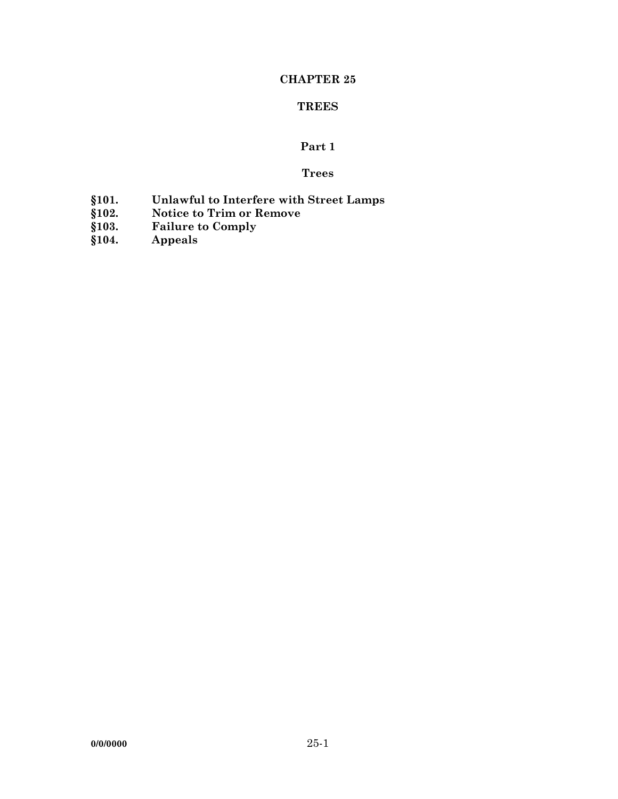## **CHAPTER 25**

# **TREES**

# **Part 1**

# **Trees**

- **§101. Unlawful to Interfere with Street Lamps**
- **§102. Notice to Trim or Remove**
- **§103. Failure to Comply**
- **§104. Appeals**